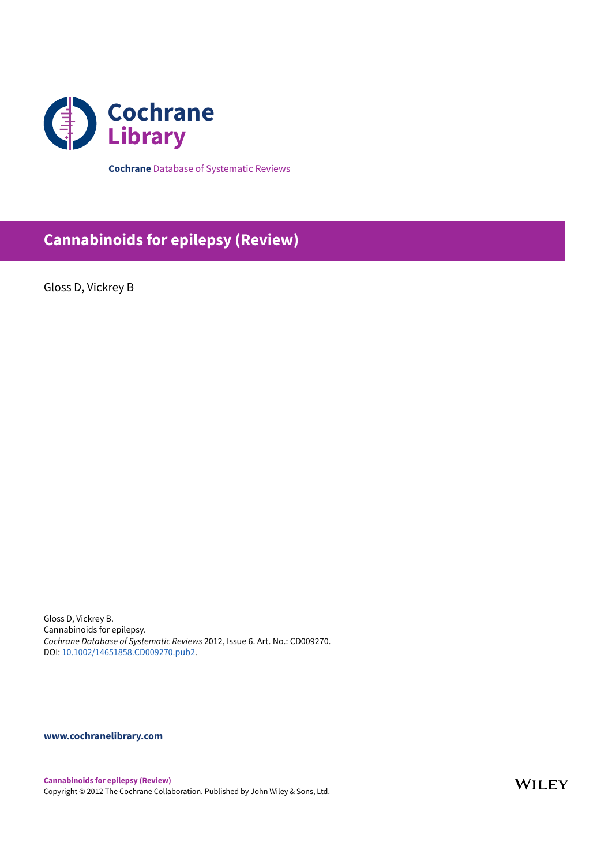

**Cochrane** Database of Systematic Reviews

# **Cannabinoids for epilepsy (Review)**

Gloss D, Vickrey B

Gloss D, Vickrey B. Cannabinoids for epilepsy. *Cochrane Database of Systematic Reviews* 2012, Issue 6. Art. No.: CD009270. DOI: [10.1002/14651858.CD009270.pub2.](https://doi.org/10.1002%2F14651858.CD009270.pub2)

**[www.cochranelibrary.com](https://www.cochranelibrary.com)**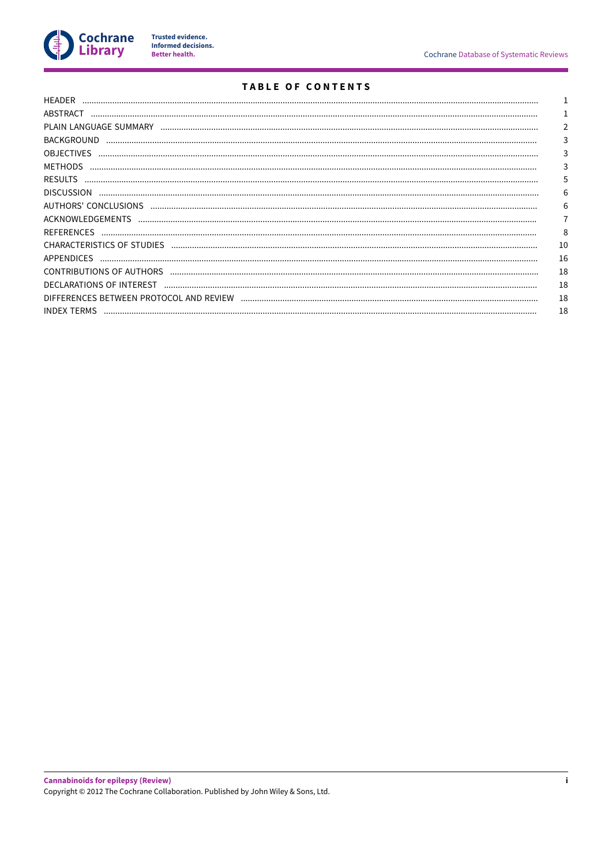

Trusted evidence.<br>Informed decisions.<br>Better health.

# TABLE OF CONTENTS

| HEADER                     |    |
|----------------------------|----|
| ABSTRACT                   |    |
| PLAIN LANGUAGE SUMMARY     |    |
| BACKGROUND                 | 3  |
| <b>OBJECTIVES</b>          | 3  |
| <b>METHODS</b>             | 3  |
| <b>RESULTS</b>             | 5  |
| <b>DISCUSSION</b>          | 6  |
|                            | 6  |
| ACKNOWLEDGEMENTS           |    |
|                            | 8  |
| CHARACTERISTICS OF STUDIES | 10 |
| APPENDICES                 | 16 |
|                            | 18 |
|                            | 18 |
|                            | 18 |
| INDEX TERMS                | 18 |
|                            |    |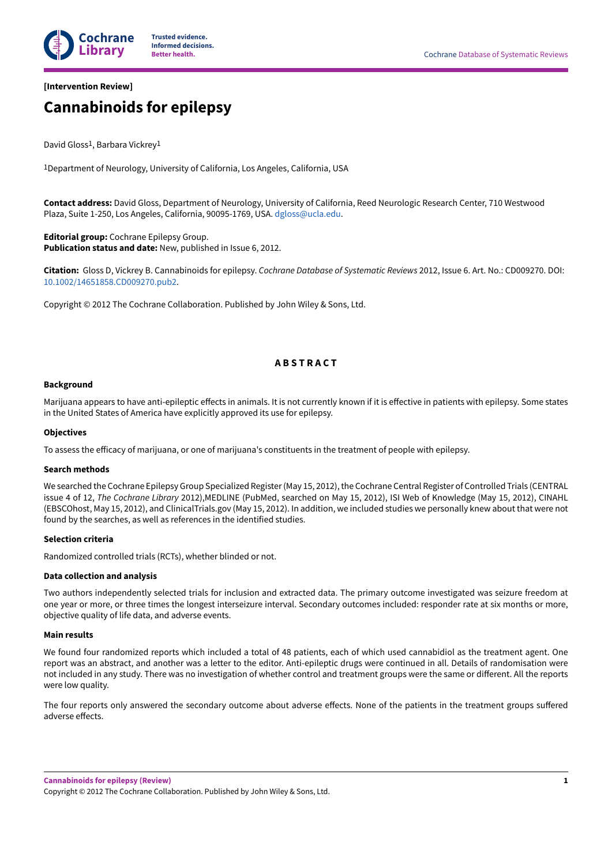

### <span id="page-2-0"></span>**[Intervention Review]**

# **Cannabinoids for epilepsy**

David Gloss1, Barbara Vickrey1

1Department of Neurology, University of California, Los Angeles, California, USA

**Contact address:** David Gloss, Department of Neurology, University of California, Reed Neurologic Research Center, 710 Westwood Plaza, Suite 1-250, Los Angeles, California, 90095-1769, USA. [dgloss@ucla.edu.](mailto:dgloss@ucla.edu)

**Editorial group:** Cochrane Epilepsy Group. **Publication status and date:** New, published in Issue 6, 2012.

**Citation:** Gloss D, Vickrey B. Cannabinoids for epilepsy. *Cochrane Database of Systematic Reviews* 2012, Issue 6. Art. No.: CD009270. DOI: [10.1002/14651858.CD009270.pub2.](https://doi.org/10.1002%2F14651858.CD009270.pub2)

Copyright © 2012 The Cochrane Collaboration. Published by John Wiley & Sons, Ltd.

# **A B S T R A C T**

#### <span id="page-2-1"></span>**Background**

Marijuana appears to have anti-epileptic effects in animals. It is not currently known if it is effective in patients with epilepsy. Some states in the United States of America have explicitly approved its use for epilepsy.

#### **Objectives**

To assess the efficacy of marijuana, or one of marijuana's constituents in the treatment of people with epilepsy.

#### **Search methods**

We searched the Cochrane Epilepsy Group Specialized Register (May 15, 2012), the Cochrane Central Register of Controlled Trials (CENTRAL issue 4 of 12, *The Cochrane Library* 2012),MEDLINE (PubMed, searched on May 15, 2012), ISI Web of Knowledge (May 15, 2012), CINAHL (EBSCOhost, May 15, 2012), and ClinicalTrials.gov (May 15, 2012). In addition, we included studies we personally knew about that were not found by the searches, as well as references in the identified studies.

### **Selection criteria**

Randomized controlled trials (RCTs), whether blinded or not.

#### **Data collection and analysis**

Two authors independently selected trials for inclusion and extracted data. The primary outcome investigated was seizure freedom at one year or more, or three times the longest interseizure interval. Secondary outcomes included: responder rate at six months or more, objective quality of life data, and adverse events.

#### **Main results**

We found four randomized reports which included a total of 48 patients, each of which used cannabidiol as the treatment agent. One report was an abstract, and another was a letter to the editor. Anti-epileptic drugs were continued in all. Details of randomisation were not included in any study. There was no investigation of whether control and treatment groups were the same or different. All the reports were low quality.

The four reports only answered the secondary outcome about adverse effects. None of the patients in the treatment groups suffered adverse effects.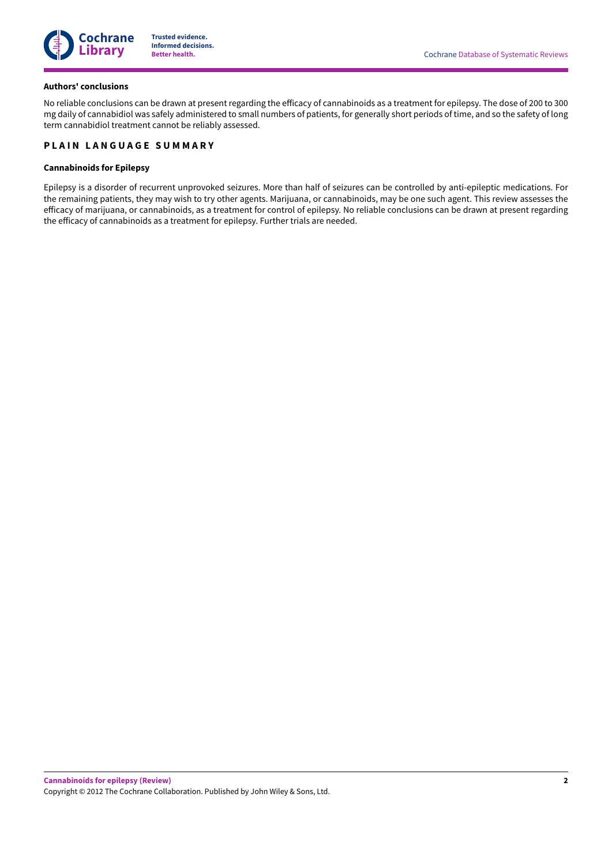

### **Authors' conclusions**

No reliable conclusions can be drawn at present regarding the efficacy of cannabinoids as a treatment for epilepsy. The dose of 200 to 300 mg daily of cannabidiol was safely administered to small numbers of patients, for generally short periods of time, and so the safety of long term cannabidiol treatment cannot be reliably assessed.

### <span id="page-3-0"></span>**P L A I N L A N G U A G E S U M M A R Y**

### **Cannabinoids for Epilepsy**

Epilepsy is a disorder of recurrent unprovoked seizures. More than half of seizures can be controlled by anti-epileptic medications. For the remaining patients, they may wish to try other agents. Marijuana, or cannabinoids, may be one such agent. This review assesses the efficacy of marijuana, or cannabinoids, as a treatment for control of epilepsy. No reliable conclusions can be drawn at present regarding the efficacy of cannabinoids as a treatment for epilepsy. Further trials are needed.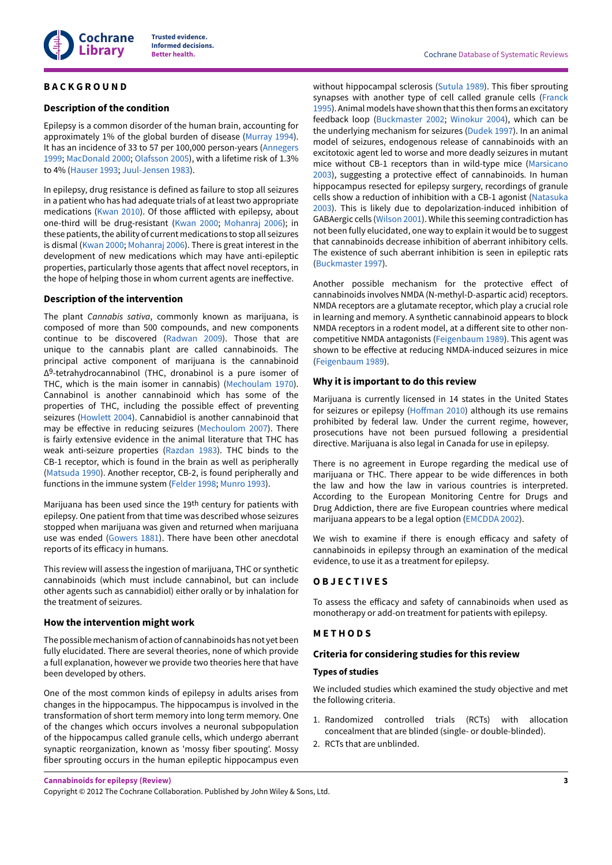

# <span id="page-4-0"></span>**B A C K G R O U N D**

## **Description of the condition**

Epilepsy is a common disorder of the human brain, accounting for approximately 1% of the global burden of disease ([Murray](#page-11-1) 1994). It has an incidence of 33 to 57 per 100,000 person-years ([Annegers](#page-9-1) [1999](#page-9-1); [MacDonald 2000;](#page-10-0) [Olafsson](#page-11-2) 2005), with a lifetime risk of 1.3% to 4% ([Hauser 1993;](#page-10-1) [Juul-Jensen 1983\)](#page-10-2).

In epilepsy, drug resistance is defined as failure to stop all seizures in a patient who has had adequate trials of at least two appropriate medications ([Kwan](#page-10-3) 2010). Of those afflicted with epilepsy, about one-third will be drug-resistant [\(Kwan](#page-10-4) 2000; [Mohanraj](#page-10-5) 2006); in these patients, the ability of current medications to stop all seizures is dismal [\(Kwan](#page-10-4) 2000; [Mohanraj](#page-10-5) 2006). There is great interest in the development of new medications which may have anti-epileptic properties, particularly those agents that affect novel receptors, in the hope of helping those in whom current agents are ineffective.

# **Description of the intervention**

The plant *Cannabis sativa*, commonly known as marijuana, is composed of more than 500 compounds, and new components continue to be discovered ([Radwan](#page-11-3) 2009). Those that are unique to the cannabis plant are called cannabinoids. The principal active component of marijuana is the cannabinoid Δ9-tetrahydrocannabinol (THC, dronabinol is a pure isomer of THC, which is the main isomer in cannabis) [\(Mechoulam 1970\)](#page-10-6). Cannabinol is another cannabinoid which has some of the properties of THC, including the possible effect of preventing seizures [\(Howlett](#page-10-7) 2004). Cannabidiol is another cannabinoid that may be effective in reducing seizures ([Mechoulom 2007](#page-10-8)). There is fairly extensive evidence in the animal literature that THC has weak anti-seizure properties [\(Razdan](#page-11-4) 1983). THC binds to the CB-1 receptor, which is found in the brain as well as peripherally [\(Matsuda](#page-10-9) 1990). Another receptor, CB-2, is found peripherally and functions in the immune system ([Felder](#page-10-10) 1998; [Munro](#page-11-5) 1993).

Marijuana has been used since the 19<sup>th</sup> century for patients with epilepsy. One patient from that time was described whose seizures stopped when marijuana was given and returned when marijuana use was ended ([Gowers](#page-10-11) 1881). There have been other anecdotal reports of its efficacy in humans.

This review will assess the ingestion of marijuana, THC or synthetic cannabinoids (which must include cannabinol, but can include other agents such as cannabidiol) either orally or by inhalation for the treatment of seizures.

### **How the intervention might work**

The possible mechanism of action of cannabinoids has not yet been fully elucidated. There are several theories, none of which provide a full explanation, however we provide two theories here that have been developed by others.

One of the most common kinds of epilepsy in adults arises from changes in the hippocampus. The hippocampus is involved in the transformation of short term memory into long term memory. One of the changes which occurs involves a neuronal subpopulation of the hippocampus called granule cells, which undergo aberrant synaptic reorganization, known as 'mossy fiber spouting'. Mossy fiber sprouting occurs in the human epileptic hippocampus even

without hippocampal sclerosis [\(Sutula 1989](#page-11-6)). This fiber sprouting synapses with another type of cell called granule cells ([Franck](#page-10-12) [1995\)](#page-10-12). Animal models have shown that this then forms an excitatory feedback loop [\(Buckmaster](#page-10-13) 2002; [Winokur](#page-11-7) 2004), which can be the underlying mechanism for seizures ([Dudek 1997](#page-10-14)). In an animal model of seizures, endogenous release of cannabinoids with an excitotoxic agent led to worse and more deadly seizures in mutant mice without CB-1 receptors than in wild-type mice [\(Marsicano](#page-10-15) [2003\)](#page-10-15), suggesting a protective effect of cannabinoids. In human hippocampus resected for epilepsy surgery, recordings of granule cells show a reduction of inhibition with a CB-1 agonist [\(Natasuka](#page-11-8) [2003\)](#page-11-8). This is likely due to depolarization-induced inhibition of GABAergic cells ([Wilson 2001](#page-11-9)).While this seeming contradiction has not been fully elucidated, one way to explain it would be to suggest that cannabinoids decrease inhibition of aberrant inhibitory cells. The existence of such aberrant inhibition is seen in epileptic rats [\(Buckmaster](#page-9-2) 1997).

Another possible mechanism for the protective effect of cannabinoids involves NMDA (N-methyl-D-aspartic acid) receptors. NMDA receptors are a glutamate receptor, which play a crucial role in learning and memory. A synthetic cannabinoid appears to block NMDA receptors in a rodent model, at a different site to other noncompetitive NMDA antagonists [\(Feigenbaum](#page-10-16) 1989). This agent was shown to be effective at reducing NMDA-induced seizures in mice [\(Feigenbaum](#page-10-16) 1989).

### **Why it is important to do this review**

Marijuana is currently licensed in 14 states in the United States for seizures or epilepsy (Hoffman 2010) although its use remains prohibited by federal law. Under the current regime, however, prosecutions have not been pursued following a presidential directive. Marijuana is also legal in Canada for use in epilepsy.

There is no agreement in Europe regarding the medical use of marijuana or THC. There appear to be wide differences in both the law and how the law in various countries is interpreted. According to the European Monitoring Centre for Drugs and Drug Addiction, there are five European countries where medical marijuana appears to be a legal option [\(EMCDDA](#page-10-18) 2002).

We wish to examine if there is enough efficacy and safety of cannabinoids in epilepsy through an examination of the medical evidence, to use it as a treatment for epilepsy.

# <span id="page-4-1"></span>**O B J E C T I V E S**

To assess the efficacy and safety of cannabinoids when used as monotherapy or add-on treatment for patients with epilepsy.

# <span id="page-4-2"></span>**M E T H O D S**

### **Criteria for considering studies for this review**

### **Types of studies**

We included studies which examined the study objective and met the following criteria.

- 1. Randomized controlled trials (RCTs) with allocation concealment that are blinded (single- or double-blinded).
- 2. RCTs that are unblinded.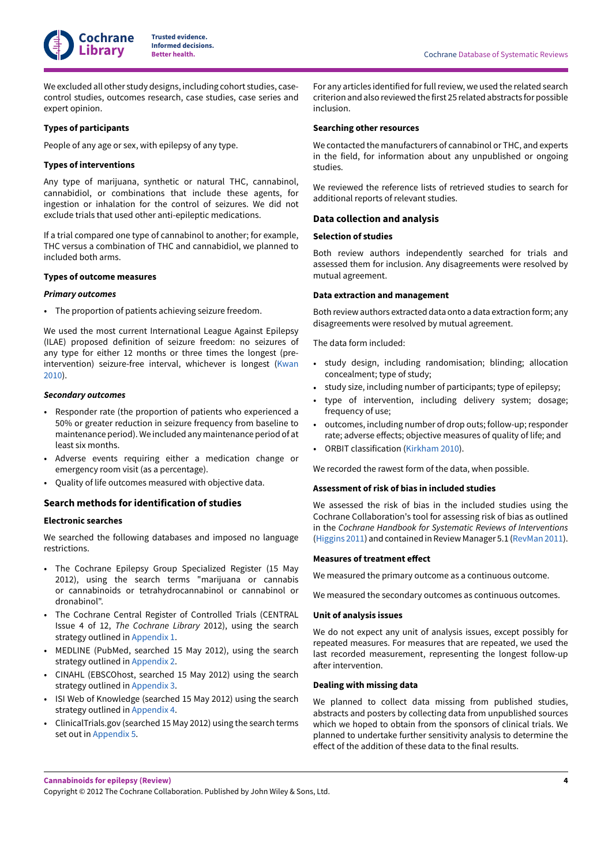

We excluded all other study designs, including cohort studies, casecontrol studies, outcomes research, case studies, case series and expert opinion.

### **Types of participants**

People of any age or sex, with epilepsy of any type.

### **Types of interventions**

Any type of marijuana, synthetic or natural THC, cannabinol, cannabidiol, or combinations that include these agents, for ingestion or inhalation for the control of seizures. We did not exclude trials that used other anti-epileptic medications.

If a trial compared one type of cannabinol to another; for example, THC versus a combination of THC and cannabidiol, we planned to included both arms.

### **Types of outcome measures**

### *Primary outcomes*

• The proportion of patients achieving seizure freedom.

We used the most current International League Against Epilepsy (ILAE) proposed definition of seizure freedom: no seizures of any type for either 12 months or three times the longest (preintervention) seizure-free interval, whichever is longest ([Kwan](#page-10-3) [2010](#page-10-3)).

### *Secondary outcomes*

- Responder rate (the proportion of patients who experienced a 50% or greater reduction in seizure frequency from baseline to maintenance period).We included any maintenance period of at least six months.
- Adverse events requiring either a medication change or emergency room visit (as a percentage).
- Quality of life outcomes measured with objective data.

# **Search methods for identification of studies**

### **Electronic searches**

We searched the following databases and imposed no language restrictions.

- The Cochrane Epilepsy Group Specialized Register (15 May 2012), using the search terms "marijuana or cannabis or cannabinoids or tetrahydrocannabinol or cannabinol or dronabinol".
- The Cochrane Central Register of Controlled Trials (CENTRAL Issue 4 of 12, *The Cochrane Library* 2012), using the search strategy outlined in [Appendix 1](#page-17-1).
- MEDLINE (PubMed, searched 15 May 2012), using the search strategy outlined in [Appendix 2](#page-17-2).
- CINAHL (EBSCOhost, searched 15 May 2012) using the search strategy outlined in [Appendix 3](#page-18-0).
- ISI Web of Knowledge (searched 15 May 2012) using the search strategy outlined in [Appendix 4](#page-18-1).
- ClinicalTrials.gov (searched 15 May 2012) using the search terms set out in [Appendix 5](#page-19-4).

For any articles identified for full review, we used the related search criterion and also reviewed the first 25 related abstracts for possible inclusion.

### **Searching other resources**

We contacted the manufacturers of cannabinol or THC, and experts in the field, for information about any unpublished or ongoing studies.

We reviewed the reference lists of retrieved studies to search for additional reports of relevant studies.

### **Data collection and analysis**

### **Selection of studies**

Both review authors independently searched for trials and assessed them for inclusion. Any disagreements were resolved by mutual agreement.

### **Data extraction and management**

Both review authors extracted data onto a data extraction form; any disagreements were resolved by mutual agreement.

The data form included:

- study design, including randomisation; blinding; allocation concealment; type of study;
- study size, including number of participants; type of epilepsy;
- type of intervention, including delivery system; dosage; frequency of use;
- outcomes, including number of drop outs; follow-up; responder rate; adverse effects; objective measures of quality of life; and
- ORBIT classification [\(Kirkham 2010\)](#page-10-19).

We recorded the rawest form of the data, when possible.

## **Assessment of risk of bias in included studies**

We assessed the risk of bias in the included studies using the Cochrane Collaboration's tool for assessing risk of bias as outlined in the *Cochrane Handbook for Systematic Reviews of Interventions* [\(Higgins 2011\)](#page-10-20) and contained in Review Manager 5.1 ([RevMan](#page-11-10) 2011).

#### **Measures of treatment effect**

We measured the primary outcome as a continuous outcome.

We measured the secondary outcomes as continuous outcomes.

#### **Unit of analysis issues**

We do not expect any unit of analysis issues, except possibly for repeated measures. For measures that are repeated, we used the last recorded measurement, representing the longest follow-up after intervention.

### **Dealing with missing data**

We planned to collect data missing from published studies, abstracts and posters by collecting data from unpublished sources which we hoped to obtain from the sponsors of clinical trials. We planned to undertake further sensitivity analysis to determine the effect of the addition of these data to the final results.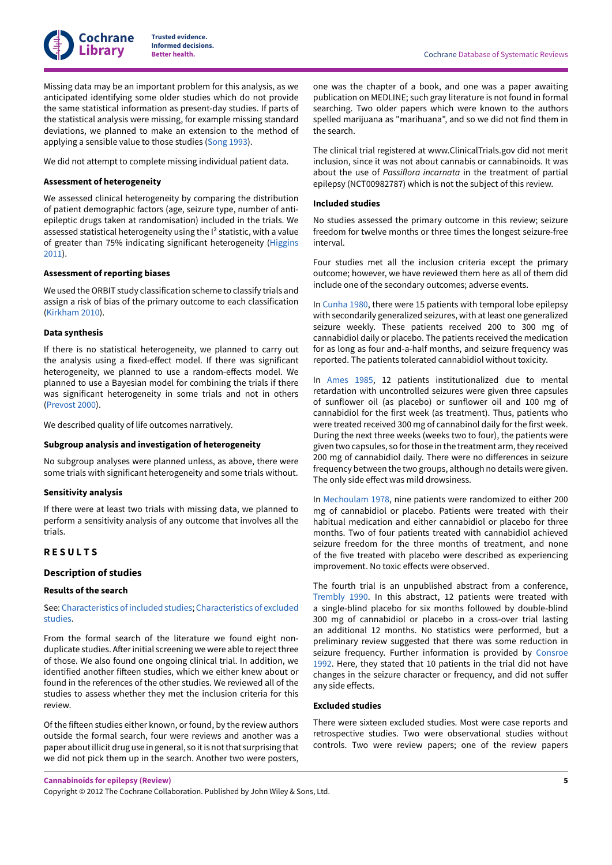

Missing data may be an important problem for this analysis, as we anticipated identifying some older studies which do not provide the same statistical information as present-day studies. If parts of the statistical analysis were missing, for example missing standard deviations, we planned to make an extension to the method of applying a sensible value to those studies ([Song 1993\)](#page-11-11).

We did not attempt to complete missing individual patient data.

#### **Assessment of heterogeneity**

We assessed clinical heterogeneity by comparing the distribution of patient demographic factors (age, seizure type, number of antiepileptic drugs taken at randomisation) included in the trials. We assessed statistical heterogeneity using the  $I<sup>2</sup>$  statistic, with a value of greater than 75% indicating significant heterogeneity [\(Higgins](#page-10-20) [2011](#page-10-20)).

#### **Assessment of reporting biases**

We used the ORBIT study classification scheme to classify trials and assign a risk of bias of the primary outcome to each classification [\(Kirkham 2010\)](#page-10-19).

### **Data synthesis**

If there is no statistical heterogeneity, we planned to carry out the analysis using a fixed-effect model. If there was significant heterogeneity, we planned to use a random-effects model. We planned to use a Bayesian model for combining the trials if there was significant heterogeneity in some trials and not in others [\(Prevost](#page-11-12) 2000).

We described quality of life outcomes narratively.

### **Subgroup analysis and investigation of heterogeneity**

No subgroup analyses were planned unless, as above, there were some trials with significant heterogeneity and some trials without.

#### **Sensitivity analysis**

If there were at least two trials with missing data, we planned to perform a sensitivity analysis of any outcome that involves all the trials.

### <span id="page-6-0"></span>**R E S U L T S**

### **Description of studies**

#### **Results of the search**

#### See: [Characteristics](#page-11-13) of included studies; [Characteristics](#page-15-0) of excluded [studies](#page-15-0).

From the formal search of the literature we found eight nonduplicate studies. After initial screening we were able to reject three of those. We also found one ongoing clinical trial. In addition, we identified another fifteen studies, which we either knew about or found in the references of the other studies. We reviewed all of the studies to assess whether they met the inclusion criteria for this review.

Of the fifteen studies either known, or found, by the review authors outside the formal search, four were reviews and another was a paper about illicit drug use in general, so it is not that surprising that we did not pick them up in the search. Another two were posters,

one was the chapter of a book, and one was a paper awaiting publication on MEDLINE; such gray literature is not found in formal searching. Two older papers which were known to the authors spelled marijuana as "marihuana", and so we did not find them in the search.

The clinical trial registered at www.ClinicalTrials.gov did not merit inclusion, since it was not about cannabis or cannabinoids. It was about the use of *Passiflora incarnata* in the treatment of partial epilepsy (NCT00982787) which is not the subject of this review.

#### **Included studies**

No studies assessed the primary outcome in this review; seizure freedom for twelve months or three times the longest seizure-free interval.

Four studies met all the inclusion criteria except the primary outcome; however, we have reviewed them here as all of them did include one of the secondary outcomes; adverse events.

In [Cunha](#page-9-3) 1980, there were 15 patients with temporal lobe epilepsy with secondarily generalized seizures, with at least one generalized seizure weekly. These patients received 200 to 300 mg of cannabidiol daily or placebo. The patients received the medication for as long as four and-a-half months, and seizure frequency was reported. The patients tolerated cannabidiol without toxicity.

In [Ames 1985](#page-9-4), 12 patients institutionalized due to mental retardation with uncontrolled seizures were given three capsules of sunflower oil (as placebo) or sunflower oil and 100 mg of cannabidiol for the first week (as treatment). Thus, patients who were treated received 300 mg of cannabinol daily for the first week. During the next three weeks (weeks two to four), the patients were given two capsules, so forthose in the treatment arm,they received 200 mg of cannabidiol daily. There were no differences in seizure frequency between the two groups, although no details were given. The only side effect was mild drowsiness.

In [Mechoulam 1978,](#page-9-5) nine patients were randomized to either 200 mg of cannabidiol or placebo. Patients were treated with their habitual medication and either cannabidiol or placebo for three months. Two of four patients treated with cannabidiol achieved seizure freedom for the three months of treatment, and none of the five treated with placebo were described as experiencing improvement. No toxic effects were observed.

The fourth trial is an unpublished abstract from a conference, [Trembly](#page-9-6) 1990. In this abstract, 12 patients were treated with a single-blind placebo for six months followed by double-blind 300 mg of cannabidiol or placebo in a cross-over trial lasting an additional 12 months. No statistics were performed, but a preliminary review suggested that there was some reduction in seizure frequency. Further information is provided by [Consroe](#page-9-7) [1992.](#page-9-7) Here, they stated that 10 patients in the trial did not have changes in the seizure character or frequency, and did not suffer any side effects.

#### **Excluded studies**

There were sixteen excluded studies. Most were case reports and retrospective studies. Two were observational studies without controls. Two were review papers; one of the review papers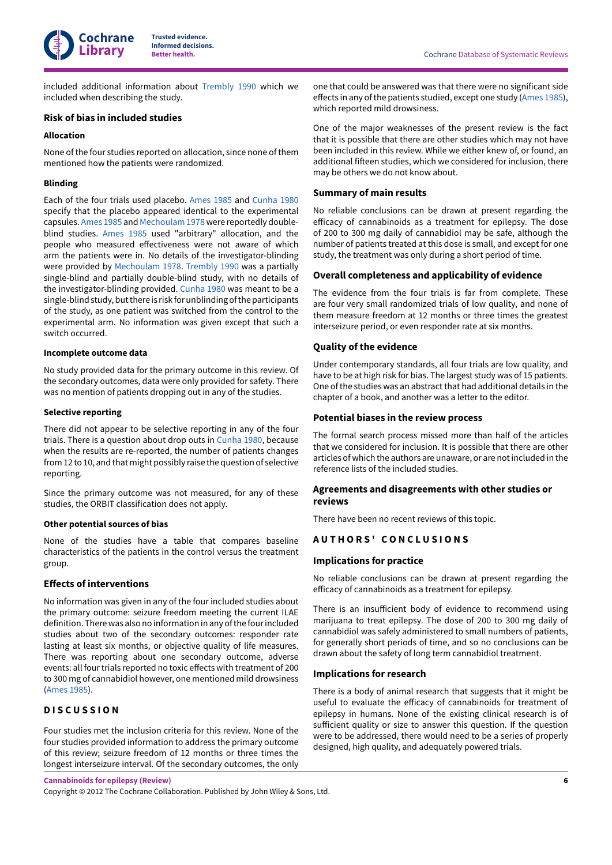

included additional information about [Trembly](#page-9-6) 1990 which we included when describing the study.

### **Risk of bias in included studies**

#### **Allocation**

None of the four studies reported on allocation, since none of them mentioned how the patients were randomized.

#### **Blinding**

Each of the four trials used placebo. [Ames 1985](#page-9-4) and [Cunha](#page-9-3) 1980 specify that the placebo appeared identical to the experimental capsules. [Ames 1985](#page-9-4) and [Mechoulam 1978](#page-9-5) were reportedly doubleblind studies. [Ames 1985](#page-9-4) used "arbitrary" allocation, and the people who measured effectiveness were not aware of which arm the patients were in. No details of the investigator-blinding were provided by [Mechoulam 1978](#page-9-5). [Trembly](#page-9-6) 1990 was a partially single-blind and partially double-blind study, with no details of the investigator-blinding provided. [Cunha](#page-9-3) 1980 was meant to be a single-blind study, but there is risk for unblinding of the participants of the study, as one patient was switched from the control to the experimental arm. No information was given except that such a switch occurred.

#### **Incomplete outcome data**

No study provided data for the primary outcome in this review. Of the secondary outcomes, data were only provided for safety. There was no mention of patients dropping out in any of the studies.

#### **Selective reporting**

There did not appear to be selective reporting in any of the four trials. There is a question about drop outs in [Cunha](#page-9-3) 1980, because when the results are re-reported, the number of patients changes from 12 to 10, and that might possibly raise the question of selective reporting.

Since the primary outcome was not measured, for any of these studies, the ORBIT classification does not apply.

### **Other potential sources of bias**

None of the studies have a table that compares baseline characteristics of the patients in the control versus the treatment group.

### **Effects of interventions**

No information was given in any of the four included studies about the primary outcome: seizure freedom meeting the current ILAE definition. There was also no information in any of the four included studies about two of the secondary outcomes: responder rate lasting at least six months, or objective quality of life measures. There was reporting about one secondary outcome, adverse events: all four trials reported no toxic effects with treatment of 200 to 300 mg of cannabidiol however, one mentioned mild drowsiness [\(Ames 1985\)](#page-9-4).

### <span id="page-7-0"></span>**D I S C U S S I O N**

Four studies met the inclusion criteria for this review. None of the four studies provided information to address the primary outcome of this review; seizure freedom of 12 months or three times the longest interseizure interval. Of the secondary outcomes, the only

one that could be answered was that there were no significant side effects in any of the patients studied, except one study ([Ames 1985\)](#page-9-4), which reported mild drowsiness.

One of the major weaknesses of the present review is the fact that it is possible that there are other studies which may not have been included in this review. While we either knew of, or found, an additional fifteen studies, which we considered for inclusion, there may be others we do not know about.

### **Summary of main results**

No reliable conclusions can be drawn at present regarding the efficacy of cannabinoids as a treatment for epilepsy. The dose of 200 to 300 mg daily of cannabidiol may be safe, although the number of patients treated at this dose is small, and except for one study, the treatment was only during a short period of time.

### **Overall completeness and applicability of evidence**

The evidence from the four trials is far from complete. These are four very small randomized trials of low quality, and none of them measure freedom at 12 months or three times the greatest interseizure period, or even responder rate at six months.

#### **Quality of the evidence**

Under contemporary standards, all four trials are low quality, and have to be at high risk for bias. The largest study was of 15 patients. One of the studies was an abstract that had additional details in the chapter of a book, and another was a letter to the editor.

#### **Potential biases in the review process**

The formal search process missed more than half of the articles that we considered for inclusion. It is possible that there are other articles of which the authors are unaware, or are notincluded in the reference lists of the included studies.

### **Agreements and disagreements with other studies or reviews**

There have been no recent reviews of this topic.

### <span id="page-7-1"></span>**A U T H O R S ' C O N C L U S I O N S**

### **Implications for practice**

No reliable conclusions can be drawn at present regarding the efficacy of cannabinoids as a treatment for epilepsy.

There is an insufficient body of evidence to recommend using marijuana to treat epilepsy. The dose of 200 to 300 mg daily of cannabidiol was safely administered to small numbers of patients, for generally short periods of time, and so no conclusions can be drawn about the safety of long term cannabidiol treatment.

#### **Implications for research**

There is a body of animal research that suggests that it might be useful to evaluate the efficacy of cannabinoids for treatment of epilepsy in humans. None of the existing clinical research is of sufficient quality or size to answer this question. If the question were to be addressed, there would need to be a series of properly designed, high quality, and adequately powered trials.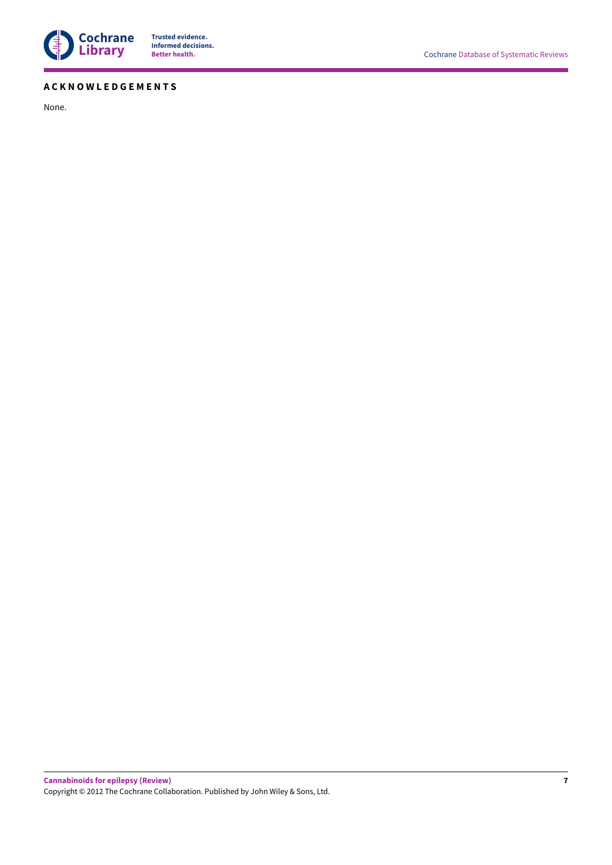

# <span id="page-8-0"></span>**A C K N O W L E D G E M E N T S**

None.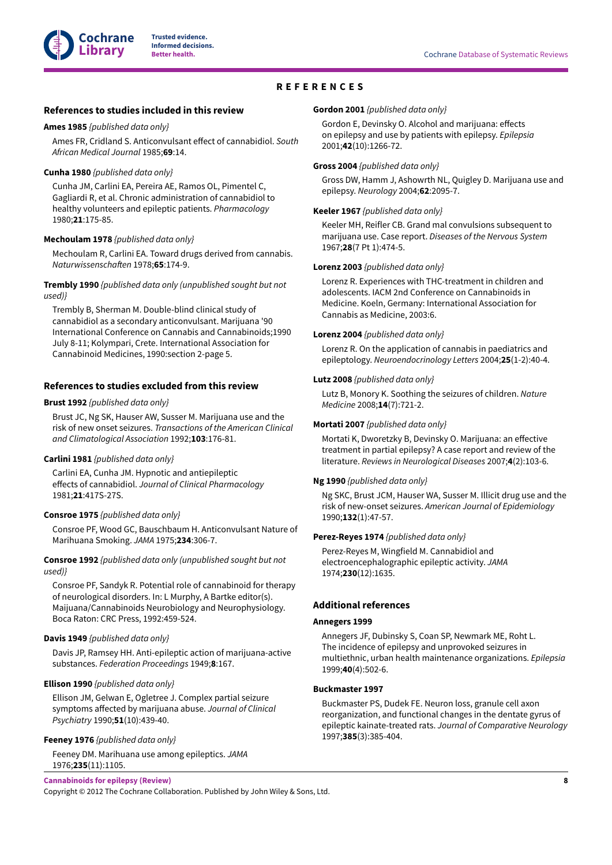

# **REFERENCES**

### <span id="page-9-0"></span>**References to studies included in this review**

<span id="page-9-4"></span>**Ames 1985** *{published data only}*

Ames FR, Cridland S. Anticonvulsant effect of cannabidiol. South *African Medical Journal* 1985;**69**:14.

### <span id="page-9-3"></span>**Cunha 1980** *{published data only}*

Cunha JM, Carlini EA, Pereira AE, Ramos OL, Pimentel C, Gagliardi R, et al. Chronic administration of cannabidiol to healthy volunteers and epileptic patients. *Pharmacology* 1980;**21**:175-85.

#### <span id="page-9-5"></span>**Mechoulam 1978** *{published data only}*

Mechoulam R, Carlini EA. Toward drugs derived from cannabis. *Naturwissenscha(en* 1978;**65**:174-9.

<span id="page-9-6"></span>**Trembly 1990** *{published data only (unpublished sought but not used)}*

Trembly B, Sherman M. Double-blind clinical study of cannabidiol as a secondary anticonvulsant. Marijuana '90 International Conference on Cannabis and Cannabinoids;1990 July 8-11; Kolympari, Crete. International Association for Cannabinoid Medicines, 1990:section 2-page 5.

#### **References to studies excluded from this review**

#### <span id="page-9-16"></span>**Brust 1992** *{published data only}*

Brust JC, Ng SK, Hauser AW, Susser M. Marijuana use and the risk of new onset seizures. *Transactions of the American Clinical and Climatological Association* 1992;**103**:176-81.

#### <span id="page-9-13"></span>**Carlini 1981** *{published data only}*

Carlini EA, Cunha JM. Hypnotic and antiepileptic eEects of cannabidiol. *Journal of Clinical Pharmacology* 1981;**21**:417S-27S.

#### <span id="page-9-11"></span>**Consroe 1975** *{published data only}*

Consroe PF, Wood GC, Bauschbaum H. Anticonvulsant Nature of Marihuana Smoking. *JAMA* 1975;**234**:306-7.

<span id="page-9-7"></span>**Consroe 1992** *{published data only (unpublished sought but not used)}*

Consroe PF, Sandyk R. Potential role of cannabinoid for therapy of neurological disorders. In: L Murphy, A Bartke editor(s). Maijuana/Cannabinoids Neurobiology and Neurophysiology. Boca Raton: CRC Press, 1992:459-524.

#### <span id="page-9-8"></span>**Davis 1949** *{published data only}*

Davis JP, Ramsey HH. Anti-epileptic action of marijuana-active substances. *Federation Proceedings* 1949;**8**:167.

#### <span id="page-9-15"></span>**Ellison 1990** *{published data only}*

Ellison JM, Gelwan E, Ogletree J. Complex partial seizure symptoms aEected by marijuana abuse. *Journal of Clinical Psychiatry* 1990;**51**(10):439-40.

#### <span id="page-9-12"></span>**Feeney 1976** *{published data only}*

Feeney DM. Marihuana use among epileptics. *JAMA* 1976;**235**(11):1105.

### **Cannabinoids for epilepsy (Review)**

Copyright © 2012 The Cochrane Collaboration. Published by John Wiley & Sons, Ltd.

#### <span id="page-9-17"></span>**Gordon 2001** *{published data only}*

Gordon E, Devinsky O. Alcohol and marijuana: effects on epilepsy and use by patients with epilepsy. *Epilepsia* 2001;**42**(10):1266-72.

#### <span id="page-9-20"></span>**Gross 2004** *{published data only}*

Gross DW, Hamm J, Ashowrth NL, Quigley D. Marijuana use and epilepsy. *Neurology* 2004;**62**:2095-7.

#### <span id="page-9-9"></span>**Keeler 1967** *{published data only}*

Keeler MH, Reifler CB. Grand mal convulsions subsequent to marijuana use. Case report. *Diseases of the Nervous System* 1967;**28**(7 Pt 1):474-5.

#### <span id="page-9-18"></span>**Lorenz 2003** *{published data only}*

Lorenz R. Experiences with THC-treatment in children and adolescents. IACM 2nd Conference on Cannabinoids in Medicine. Koeln, Germany: International Association for Cannabis as Medicine, 2003:6.

### <span id="page-9-19"></span>**Lorenz 2004** *{published data only}*

Lorenz R. On the application of cannabis in paediatrics and epileptology. *Neuroendocrinology Letters* 2004;**25**(1-2):40-4.

#### <span id="page-9-22"></span>**Lutz 2008** *{published data only}*

Lutz B, Monory K. Soothing the seizures of children. *Nature Medicine* 2008;**14**(7):721-2.

### <span id="page-9-21"></span>**Mortati 2007** *{published data only}*

Mortati K, Dworetzky B, Devinsky O. Marijuana: an effective treatment in partial epilepsy? A case report and review of the literature. *Reviews in Neurological Diseases* 2007;**4**(2):103-6.

#### <span id="page-9-14"></span>**Ng 1990** *{published data only}*

Ng SKC, Brust JCM, Hauser WA, Susser M. Illicit drug use and the risk of new-onset seizures. *American Journal of Epidemiology* 1990;**132**(1):47-57.

#### <span id="page-9-10"></span>**Perez-Reyes 1974** *{published data only}*

Perez-Reyes M, Wingfield M. Cannabidiol and electroencephalographic epileptic activity. *JAMA* 1974;**230**(12):1635.

#### **Additional references**

#### <span id="page-9-1"></span>**Annegers 1999**

Annegers JF, Dubinsky S, Coan SP, Newmark ME, Roht L. The incidence of epilepsy and unprovoked seizures in multiethnic, urban health maintenance organizations. *Epilepsia* 1999;**40**(4):502-6.

### <span id="page-9-2"></span>**Buckmaster 1997**

Buckmaster PS, Dudek FE. Neuron loss, granule cell axon reorganization, and functional changes in the dentate gyrus of epileptic kainate-treated rats. *Journal of Comparative Neurology* 1997;**385**(3):385-404.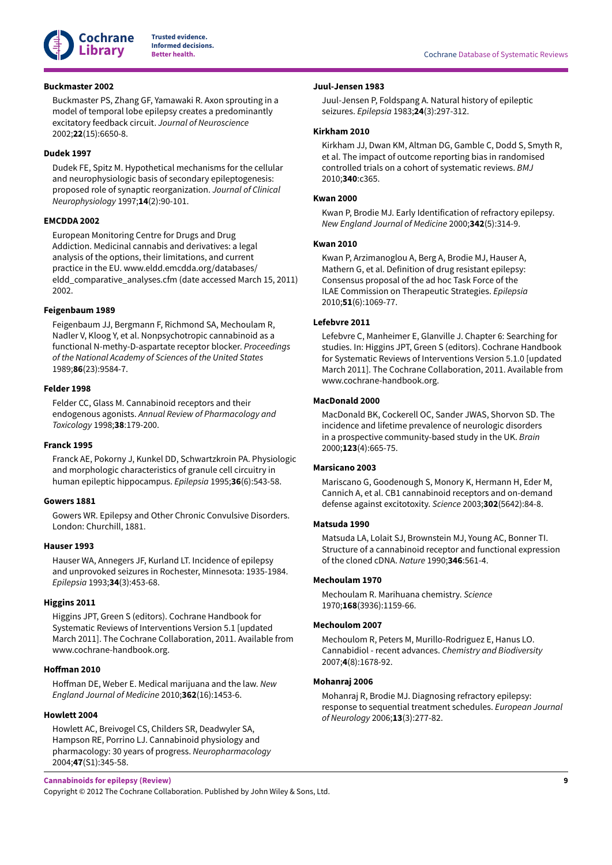

#### <span id="page-10-13"></span>**Buckmaster 2002**

Buckmaster PS, Zhang GF, Yamawaki R. Axon sprouting in a model of temporal lobe epilepsy creates a predominantly excitatory feedback circuit. *Journal of Neuroscience* 2002;**22**(15):6650-8.

### <span id="page-10-14"></span>**Dudek 1997**

Dudek FE, Spitz M. Hypothetical mechanisms for the cellular and neurophysiologic basis of secondary epileptogenesis: proposed role of synaptic reorganization. *Journal of Clinical Neurophysiology* 1997;**14**(2):90-101.

#### <span id="page-10-18"></span>**EMCDDA 2002**

European Monitoring Centre for Drugs and Drug Addiction. Medicinal cannabis and derivatives: a legal analysis of the options, their limitations, and current practice in the EU. www.eldd.emcdda.org/databases/ eldd\_comparative\_analyses.cfm (date accessed March 15, 2011) 2002.

#### <span id="page-10-16"></span>**Feigenbaum 1989**

Feigenbaum JJ, Bergmann F, Richmond SA, Mechoulam R, Nadler V, Kloog Y, et al. Nonpsychotropic cannabinoid as a functional N-methy-D-aspartate receptor blocker. *Proceedings of the National Academy of Sciences of the United States* 1989;**86**(23):9584-7.

#### <span id="page-10-10"></span>**Felder 1998**

Felder CC, Glass M. Cannabinoid receptors and their endogenous agonists. *Annual Review of Pharmacology and Toxicology* 1998;**38**:179-200.

### <span id="page-10-12"></span>**Franck 1995**

Franck AE, Pokorny J, Kunkel DD, Schwartzkroin PA. Physiologic and morphologic characteristics of granule cell circuitry in human epileptic hippocampus. *Epilepsia* 1995;**36**(6):543-58.

#### <span id="page-10-11"></span>**Gowers 1881**

Gowers WR. Epilepsy and Other Chronic Convulsive Disorders. London: Churchill, 1881.

#### <span id="page-10-1"></span>**Hauser 1993**

Hauser WA, Annegers JF, Kurland LT. Incidence of epilepsy and unprovoked seizures in Rochester, Minnesota: 1935-1984. *Epilepsia* 1993;**34**(3):453-68.

### <span id="page-10-20"></span>**Higgins 2011**

Higgins JPT, Green S (editors). Cochrane Handbook for Systematic Reviews of Interventions Version 5.1 [updated March 2011]. The Cochrane Collaboration, 2011. Available from www.cochrane-handbook.org.

#### <span id="page-10-17"></span>**Hoffman** 2010

Hoffman DE, Weber E. Medical marijuana and the law. New *England Journal of Medicine* 2010;**362**(16):1453-6.

### <span id="page-10-7"></span>**Howlett 2004**

Howlett AC, Breivogel CS, Childers SR, Deadwyler SA, Hampson RE, Porrino LJ. Cannabinoid physiology and pharmacology: 30 years of progress. *Neuropharmacology* 2004;**47**(S1):345-58.

#### <span id="page-10-2"></span>**Juul-Jensen 1983**

Juul-Jensen P, Foldspang A. Natural history of epileptic seizures. *Epilepsia* 1983;**24**(3):297-312.

#### <span id="page-10-19"></span>**Kirkham 2010**

Kirkham JJ, Dwan KM, Altman DG, Gamble C, Dodd S, Smyth R, et al. The impact of outcome reporting bias in randomised controlled trials on a cohort of systematic reviews. *BMJ* 2010;**340**:c365.

### <span id="page-10-4"></span>**Kwan 2000**

Kwan P, Brodie MJ. Early Identification of refractory epilepsy. *New England Journal of Medicine* 2000;**342**(5):314-9.

#### <span id="page-10-3"></span>**Kwan 2010**

Kwan P, Arzimanoglou A, Berg A, Brodie MJ, Hauser A, Mathern G, et al. Definition of drug resistant epilepsy: Consensus proposal of the ad hoc Task Force of the ILAE Commission on Therapeutic Strategies. *Epilepsia* 2010;**51**(6):1069-77.

#### <span id="page-10-21"></span>**Lefebvre 2011**

Lefebvre C, Manheimer E, Glanville J. Chapter 6: Searching for studies. In: Higgins JPT, Green S (editors). Cochrane Handbook for Systematic Reviews of Interventions Version 5.1.0 [updated March 2011]. The Cochrane Collaboration, 2011. Available from www.cochrane-handbook.org.

### <span id="page-10-0"></span>**MacDonald 2000**

MacDonald BK, Cockerell OC, Sander JWAS, Shorvon SD. The incidence and lifetime prevalence of neurologic disorders in a prospective community-based study in the UK. *Brain* 2000;**123**(4):665-75.

### <span id="page-10-15"></span>**Marsicano 2003**

Mariscano G, Goodenough S, Monory K, Hermann H, Eder M, Cannich A, et al. CB1 cannabinoid receptors and on-demand defense against excitotoxity. *Science* 2003;**302**(5642):84-8.

#### <span id="page-10-9"></span>**Matsuda 1990**

Matsuda LA, Lolait SJ, Brownstein MJ, Young AC, Bonner TI. Structure of a cannabinoid receptor and functional expression of the cloned cDNA. *Nature* 1990;**346**:561-4.

### <span id="page-10-6"></span>**Mechoulam 1970**

Mechoulam R. Marihuana chemistry. *Science* 1970;**168**(3936):1159-66.

### <span id="page-10-8"></span>**Mechoulom 2007**

Mechoulom R, Peters M, Murillo-Rodriguez E, Hanus LO. Cannabidiol - recent advances. *Chemistry and Biodiversity* 2007;**4**(8):1678-92.

#### <span id="page-10-5"></span>**Mohanraj 2006**

Mohanraj R, Brodie MJ. Diagnosing refractory epilepsy: response to sequential treatment schedules. *European Journal of Neurology* 2006;**13**(3):277-82.

**Cannabinoids for epilepsy (Review)**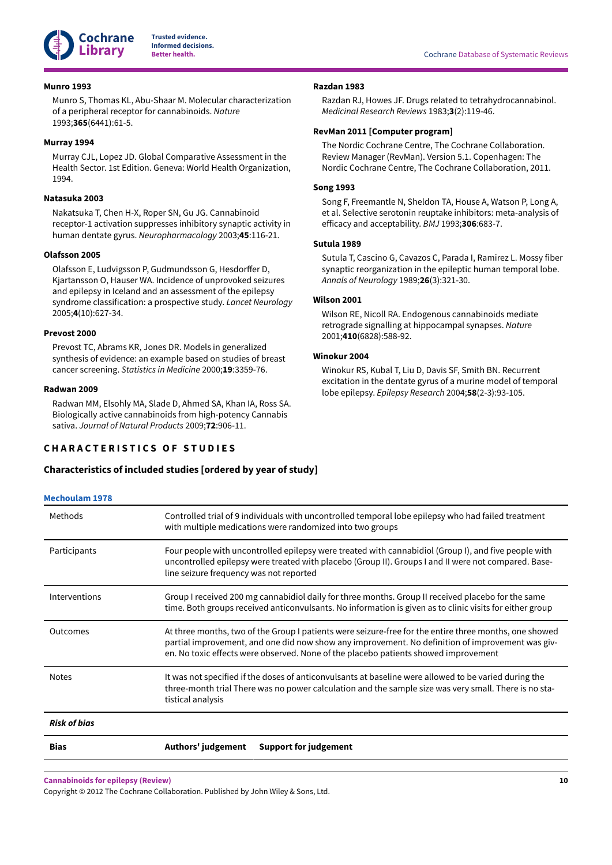

#### <span id="page-11-5"></span>**Munro 1993**

Munro S, Thomas KL, Abu-Shaar M. Molecular characterization of a peripheral receptor for cannabinoids. *Nature* 1993;**365**(6441):61-5.

#### <span id="page-11-1"></span>**Murray 1994**

Murray CJL, Lopez JD. Global Comparative Assessment in the Health Sector. 1st Edition. Geneva: World Health Organization, 1994.

### <span id="page-11-8"></span>**Natasuka 2003**

Nakatsuka T, Chen H-X, Roper SN, Gu JG. Cannabinoid receptor-1 activation suppresses inhibitory synaptic activity in human dentate gyrus. *Neuropharmacology* 2003;**45**:116-21.

#### <span id="page-11-2"></span>**Olafsson 2005**

Olafsson E, Ludvigsson P, Gudmundsson G, Hesdorffer D, Kjartansson O, Hauser WA. Incidence of unprovoked seizures and epilepsy in Iceland and an assessment of the epilepsy syndrome classification: a prospective study. *Lancet Neurology* 2005;**4**(10):627-34.

### <span id="page-11-12"></span>**Prevost 2000**

Prevost TC, Abrams KR, Jones DR. Models in generalized synthesis of evidence: an example based on studies of breast cancer screening. *Statistics in Medicine* 2000;**19**:3359-76.

### <span id="page-11-3"></span>**Radwan 2009**

Radwan MM, Elsohly MA, Slade D, Ahmed SA, Khan IA, Ross SA. Biologically active cannabinoids from high-potency Cannabis sativa. *Journal of Natural Products* 2009;**72**:906-11.

# <span id="page-11-0"></span>**C H A R A C T E R I S T I C S O F S T U D I E S**

### <span id="page-11-13"></span>**Characteristics of included studies [ordered by year of study]**

#### **[Mechoulam 1978](#page-9-5)**

| <b>Bias</b>         | Authors' judgement<br><b>Support for judgement</b>                                                                                                                                                                                                                                                |
|---------------------|---------------------------------------------------------------------------------------------------------------------------------------------------------------------------------------------------------------------------------------------------------------------------------------------------|
| <b>Risk of bias</b> |                                                                                                                                                                                                                                                                                                   |
| <b>Notes</b>        | It was not specified if the doses of anticonvulsants at baseline were allowed to be varied during the<br>three-month trial There was no power calculation and the sample size was very small. There is no sta-<br>tistical analysis                                                               |
| Outcomes            | At three months, two of the Group I patients were seizure-free for the entire three months, one showed<br>partial improvement, and one did now show any improvement. No definition of improvement was giv-<br>en. No toxic effects were observed. None of the placebo patients showed improvement |
| Interventions       | Group I received 200 mg cannabidiol daily for three months. Group II received placebo for the same<br>time. Both groups received anticonvulsants. No information is given as to clinic visits for either group                                                                                    |
| Participants        | Four people with uncontrolled epilepsy were treated with cannabidiol (Group I), and five people with<br>uncontrolled epilepsy were treated with placebo (Group II). Groups I and II were not compared. Base-<br>line seizure frequency was not reported                                           |
| Methods             | Controlled trial of 9 individuals with uncontrolled temporal lobe epilepsy who had failed treatment<br>with multiple medications were randomized into two groups                                                                                                                                  |
|                     |                                                                                                                                                                                                                                                                                                   |

**Cannabinoids for epilepsy (Review)**

Copyright © 2012 The Cochrane Collaboration. Published by John Wiley & Sons, Ltd.

# <span id="page-11-4"></span>**Razdan 1983**

Razdan RJ, Howes JF. Drugs related to tetrahydrocannabinol. *Medicinal Research Reviews* 1983;**3**(2):119-46.

#### <span id="page-11-10"></span>**RevMan 2011 [Computer program]**

The Nordic Cochrane Centre, The Cochrane Collaboration. Review Manager (RevMan). Version 5.1. Copenhagen: The Nordic Cochrane Centre, The Cochrane Collaboration, 2011.

## <span id="page-11-11"></span>**Song 1993**

Song F, Freemantle N, Sheldon TA, House A, Watson P, Long A, et al. Selective serotonin reuptake inhibitors: meta-analysis of efficacy and acceptability. *BMJ* 1993;306:683-7.

#### <span id="page-11-6"></span>**Sutula 1989**

Sutula T, Cascino G, Cavazos C, Parada I, Ramirez L. Mossy fiber synaptic reorganization in the epileptic human temporal lobe. *Annals of Neurology* 1989;**26**(3):321-30.

### <span id="page-11-9"></span>**Wilson 2001**

Wilson RE, Nicoll RA. Endogenous cannabinoids mediate retrograde signalling at hippocampal synapses. *Nature* 2001;**410**(6828):588-92.

#### <span id="page-11-7"></span>**Winokur 2004**

Winokur RS, Kubal T, Liu D, Davis SF, Smith BN. Recurrent excitation in the dentate gyrus of a murine model of temporal lobe epilepsy. *Epilepsy Research* 2004;**58**(2-3):93-105.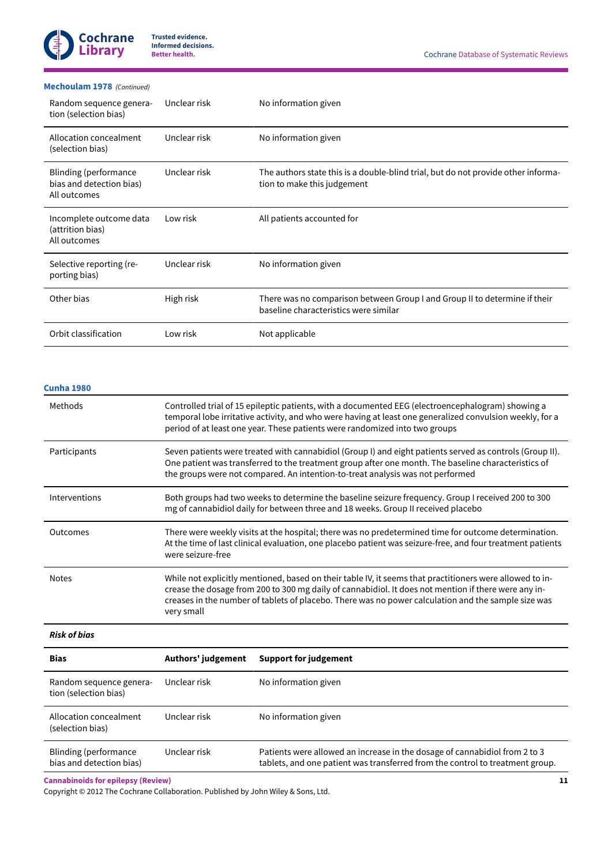## **[Mechoulam 1978](#page-9-5)**  *(Continued)*

| Random sequence genera-<br>tion (selection bias)                  | Unclear risk | No information given                                                                                                |
|-------------------------------------------------------------------|--------------|---------------------------------------------------------------------------------------------------------------------|
| Allocation concealment<br>(selection bias)                        | Unclear risk | No information given                                                                                                |
| Blinding (performance<br>bias and detection bias)<br>All outcomes | Unclear risk | The authors state this is a double-blind trial, but do not provide other informa-<br>tion to make this judgement    |
| Incomplete outcome data<br>(attrition bias)<br>All outcomes       | Low risk     | All patients accounted for                                                                                          |
| Selective reporting (re-<br>porting bias)                         | Unclear risk | No information given                                                                                                |
| Other bias                                                        | High risk    | There was no comparison between Group I and Group II to determine if their<br>baseline characteristics were similar |
| Orbit classification                                              | Low risk     | Not applicable                                                                                                      |

## **[Cunha](#page-9-3) 1980**

| Methods                                                  | Controlled trial of 15 epileptic patients, with a documented EEG (electroencephalogram) showing a<br>temporal lobe irritative activity, and who were having at least one generalized convulsion weekly, for a<br>period of at least one year. These patients were randomized into two groups                                          |                                                                                                                                                             |  |
|----------------------------------------------------------|---------------------------------------------------------------------------------------------------------------------------------------------------------------------------------------------------------------------------------------------------------------------------------------------------------------------------------------|-------------------------------------------------------------------------------------------------------------------------------------------------------------|--|
| Participants                                             | Seven patients were treated with cannabidiol (Group I) and eight patients served as controls (Group II).<br>One patient was transferred to the treatment group after one month. The baseline characteristics of<br>the groups were not compared. An intention-to-treat analysis was not performed                                     |                                                                                                                                                             |  |
| Interventions                                            | Both groups had two weeks to determine the baseline seizure frequency. Group I received 200 to 300<br>mg of cannabidiol daily for between three and 18 weeks. Group II received placebo                                                                                                                                               |                                                                                                                                                             |  |
| Outcomes                                                 | There were weekly visits at the hospital; there was no predetermined time for outcome determination.<br>At the time of last clinical evaluation, one placebo patient was seizure-free, and four treatment patients<br>were seizure-free                                                                                               |                                                                                                                                                             |  |
| <b>Notes</b>                                             | While not explicitly mentioned, based on their table IV, it seems that practitioners were allowed to in-<br>crease the dosage from 200 to 300 mg daily of cannabidiol. It does not mention if there were any in-<br>creases in the number of tablets of placebo. There was no power calculation and the sample size was<br>very small |                                                                                                                                                             |  |
| <b>Risk of bias</b>                                      |                                                                                                                                                                                                                                                                                                                                       |                                                                                                                                                             |  |
| <b>Bias</b>                                              | Authors' judgement                                                                                                                                                                                                                                                                                                                    | <b>Support for judgement</b>                                                                                                                                |  |
| Random sequence genera-<br>tion (selection bias)         | Unclear risk                                                                                                                                                                                                                                                                                                                          | No information given                                                                                                                                        |  |
| Allocation concealment<br>(selection bias)               | Unclear risk                                                                                                                                                                                                                                                                                                                          | No information given                                                                                                                                        |  |
| <b>Blinding (performance</b><br>bias and detection bias) | Unclear risk                                                                                                                                                                                                                                                                                                                          | Patients were allowed an increase in the dosage of cannabidiol from 2 to 3<br>tablets, and one patient was transferred from the control to treatment group. |  |

**Cannabinoids for epilepsy (Review)**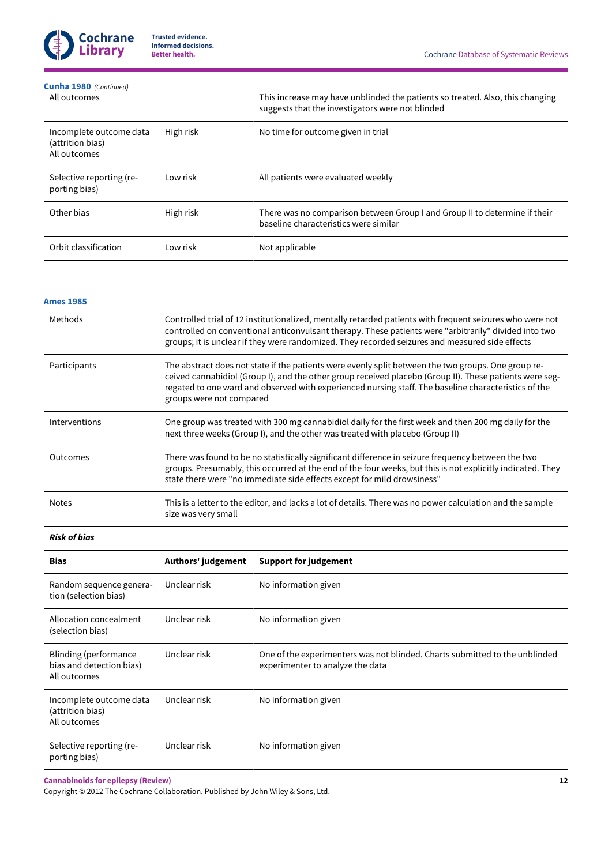

# **[Cunha](#page-9-3) 1980**  *(Continued)*

| All outcomes                                                |           | This increase may have unblinded the patients so treated. Also, this changing<br>suggests that the investigators were not blinded |
|-------------------------------------------------------------|-----------|-----------------------------------------------------------------------------------------------------------------------------------|
| Incomplete outcome data<br>(attrition bias)<br>All outcomes | High risk | No time for outcome given in trial                                                                                                |
| Selective reporting (re-<br>porting bias)                   | Low risk  | All patients were evaluated weekly                                                                                                |
| Other bias                                                  | High risk | There was no comparison between Group I and Group II to determine if their<br>baseline characteristics were similar               |
| Orbit classification                                        | Low risk  | Not applicable                                                                                                                    |

### **[Ames 1985](#page-9-4)**

| Methods         | Controlled trial of 12 institutionalized, mentally retarded patients with frequent seizures who were not<br>controlled on conventional anticonvulsant therapy. These patients were "arbitrarily" divided into two<br>groups; it is unclear if they were randomized. They recorded seizures and measured side effects                               |
|-----------------|----------------------------------------------------------------------------------------------------------------------------------------------------------------------------------------------------------------------------------------------------------------------------------------------------------------------------------------------------|
| Participants    | The abstract does not state if the patients were evenly split between the two groups. One group re-<br>ceived cannabidiol (Group I), and the other group received placebo (Group II). These patients were seg-<br>regated to one ward and observed with experienced nursing staff. The baseline characteristics of the<br>groups were not compared |
| Interventions   | One group was treated with 300 mg cannabidiol daily for the first week and then 200 mg daily for the<br>next three weeks (Group I), and the other was treated with placebo (Group II)                                                                                                                                                              |
| <b>Outcomes</b> | There was found to be no statistically significant difference in seizure frequency between the two<br>groups. Presumably, this occurred at the end of the four weeks, but this is not explicitly indicated. They<br>state there were "no immediate side effects except for mild drowsiness"                                                        |
| <b>Notes</b>    | This is a letter to the editor, and lacks a lot of details. There was no power calculation and the sample<br>size was very small                                                                                                                                                                                                                   |

# *Risk of bias*

| <b>Bias</b>                                                       | Authors' judgement | <b>Support for judgement</b>                                                                                    |
|-------------------------------------------------------------------|--------------------|-----------------------------------------------------------------------------------------------------------------|
| Random sequence genera-<br>tion (selection bias)                  | Unclear risk       | No information given                                                                                            |
| Allocation concealment<br>(selection bias)                        | Unclear risk       | No information given                                                                                            |
| Blinding (performance<br>bias and detection bias)<br>All outcomes | Unclear risk       | One of the experimenters was not blinded. Charts submitted to the unblinded<br>experimenter to analyze the data |
| Incomplete outcome data<br>(attrition bias)<br>All outcomes       | Unclear risk       | No information given                                                                                            |
| Selective reporting (re-<br>porting bias)                         | Unclear risk       | No information given                                                                                            |

**Cannabinoids for epilepsy (Review)**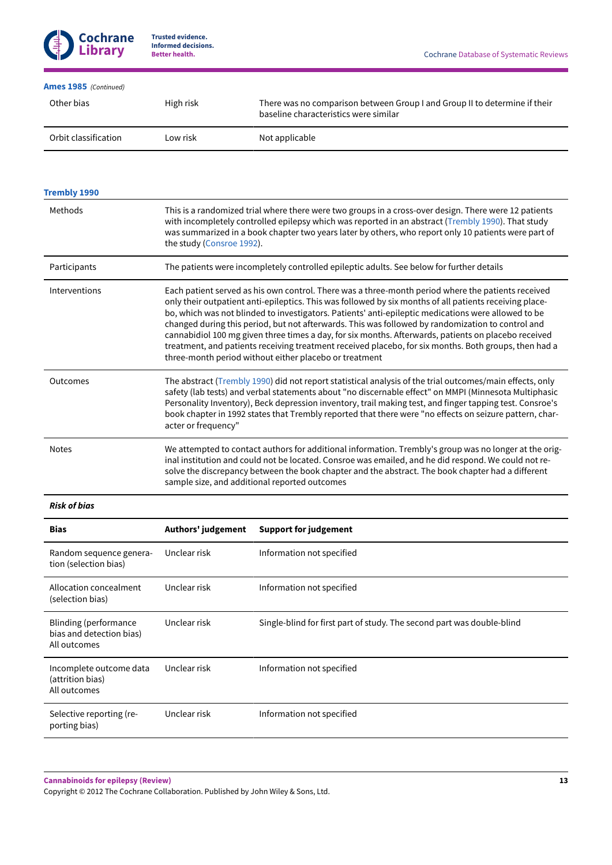

### **[Ames 1985](#page-9-4)**  *(Continued)*

| Other bias           | High risk | There was no comparison between Group I and Group II to determine if their<br>baseline characteristics were similar |
|----------------------|-----------|---------------------------------------------------------------------------------------------------------------------|
| Orbit classification | Low risk  | Not applicable                                                                                                      |

## **[Trembly](#page-9-6) 1990**

| Methods       | This is a randomized trial where there were two groups in a cross-over design. There were 12 patients<br>with incompletely controlled epilepsy which was reported in an abstract (Trembly 1990). That study<br>was summarized in a book chapter two years later by others, who report only 10 patients were part of<br>the study (Consroe 1992).                                                                                                                                                                                                                                                                                                                                                     |
|---------------|------------------------------------------------------------------------------------------------------------------------------------------------------------------------------------------------------------------------------------------------------------------------------------------------------------------------------------------------------------------------------------------------------------------------------------------------------------------------------------------------------------------------------------------------------------------------------------------------------------------------------------------------------------------------------------------------------|
| Participants  | The patients were incompletely controlled epileptic adults. See below for further details                                                                                                                                                                                                                                                                                                                                                                                                                                                                                                                                                                                                            |
| Interventions | Each patient served as his own control. There was a three-month period where the patients received<br>only their outpatient anti-epileptics. This was followed by six months of all patients receiving place-<br>bo, which was not blinded to investigators. Patients' anti-epileptic medications were allowed to be<br>changed during this period, but not afterwards. This was followed by randomization to control and<br>cannabidiol 100 mg given three times a day, for six months. Afterwards, patients on placebo received<br>treatment, and patients receiving treatment received placebo, for six months. Both groups, then had a<br>three-month period without either placebo or treatment |
| Outcomes      | The abstract (Trembly 1990) did not report statistical analysis of the trial outcomes/main effects, only<br>safety (lab tests) and verbal statements about "no discernable effect" on MMPI (Minnesota Multiphasic<br>Personality Inventory), Beck depression inventory, trail making test, and finger tapping test. Consroe's<br>book chapter in 1992 states that Trembly reported that there were "no effects on seizure pattern, char-<br>acter or frequency"                                                                                                                                                                                                                                      |
| <b>Notes</b>  | We attempted to contact authors for additional information. Trembly's group was no longer at the orig-<br>inal institution and could not be located. Consroe was emailed, and he did respond. We could not re-<br>solve the discrepancy between the book chapter and the abstract. The book chapter had a different<br>sample size, and additional reported outcomes                                                                                                                                                                                                                                                                                                                                 |

# *Risk of bias*

| <b>Bias</b>                                                       | Authors' judgement | <b>Support for judgement</b>                                           |
|-------------------------------------------------------------------|--------------------|------------------------------------------------------------------------|
| Random sequence genera-<br>tion (selection bias)                  | Unclear risk       | Information not specified                                              |
| Allocation concealment<br>(selection bias)                        | Unclear risk       | Information not specified                                              |
| Blinding (performance<br>bias and detection bias)<br>All outcomes | Unclear risk       | Single-blind for first part of study. The second part was double-blind |
| Incomplete outcome data<br>(attrition bias)<br>All outcomes       | Unclear risk       | Information not specified                                              |
| Selective reporting (re-<br>porting bias)                         | Unclear risk       | Information not specified                                              |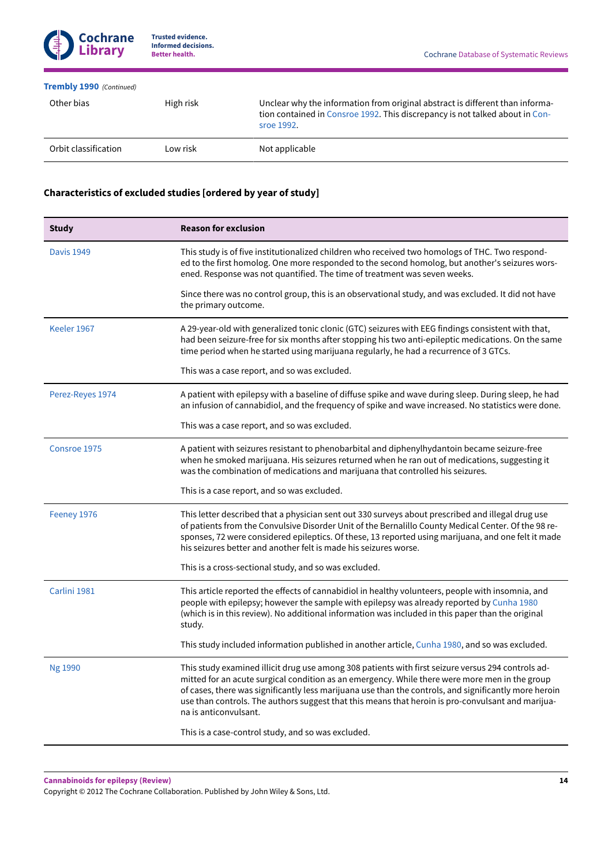**[Trembly](#page-9-6) 1990**  *(Continued)*

| Other bias           | High risk | Unclear why the information from original abstract is different than informa-<br>tion contained in Consroe 1992. This discrepancy is not talked about in Con-<br>sroe 1992. |
|----------------------|-----------|-----------------------------------------------------------------------------------------------------------------------------------------------------------------------------|
| Orbit classification | Low risk  | Not applicable                                                                                                                                                              |

# <span id="page-15-0"></span>**Characteristics of excluded studies [ordered by year of study]**

| <b>Study</b>      | <b>Reason for exclusion</b>                                                                                                                                                                                                                                                                                                                                                                                                                 |
|-------------------|---------------------------------------------------------------------------------------------------------------------------------------------------------------------------------------------------------------------------------------------------------------------------------------------------------------------------------------------------------------------------------------------------------------------------------------------|
| <b>Davis 1949</b> | This study is of five institutionalized children who received two homologs of THC. Two respond-<br>ed to the first homolog. One more responded to the second homolog, but another's seizures wors-<br>ened. Response was not quantified. The time of treatment was seven weeks.                                                                                                                                                             |
|                   | Since there was no control group, this is an observational study, and was excluded. It did not have<br>the primary outcome.                                                                                                                                                                                                                                                                                                                 |
| Keeler 1967       | A 29-year-old with generalized tonic clonic (GTC) seizures with EEG findings consistent with that,<br>had been seizure-free for six months after stopping his two anti-epileptic medications. On the same<br>time period when he started using marijuana regularly, he had a recurrence of 3 GTCs.                                                                                                                                          |
|                   | This was a case report, and so was excluded.                                                                                                                                                                                                                                                                                                                                                                                                |
| Perez-Reyes 1974  | A patient with epilepsy with a baseline of diffuse spike and wave during sleep. During sleep, he had<br>an infusion of cannabidiol, and the frequency of spike and wave increased. No statistics were done.                                                                                                                                                                                                                                 |
|                   | This was a case report, and so was excluded.                                                                                                                                                                                                                                                                                                                                                                                                |
| Consroe 1975      | A patient with seizures resistant to phenobarbital and diphenylhydantoin became seizure-free<br>when he smoked marijuana. His seizures returned when he ran out of medications, suggesting it<br>was the combination of medications and marijuana that controlled his seizures.                                                                                                                                                             |
|                   | This is a case report, and so was excluded.                                                                                                                                                                                                                                                                                                                                                                                                 |
| Feeney 1976       | This letter described that a physician sent out 330 surveys about prescribed and illegal drug use<br>of patients from the Convulsive Disorder Unit of the Bernalillo County Medical Center. Of the 98 re-<br>sponses, 72 were considered epileptics. Of these, 13 reported using marijuana, and one felt it made<br>his seizures better and another felt is made his seizures worse.                                                        |
|                   | This is a cross-sectional study, and so was excluded.                                                                                                                                                                                                                                                                                                                                                                                       |
| Carlini 1981      | This article reported the effects of cannabidiol in healthy volunteers, people with insomnia, and<br>people with epilepsy; however the sample with epilepsy was already reported by Cunha 1980<br>(which is in this review). No additional information was included in this paper than the original<br>study.                                                                                                                               |
|                   | This study included information published in another article, Cunha 1980, and so was excluded.                                                                                                                                                                                                                                                                                                                                              |
| Ng 1990           | This study examined illicit drug use among 308 patients with first seizure versus 294 controls ad-<br>mitted for an acute surgical condition as an emergency. While there were more men in the group<br>of cases, there was significantly less marijuana use than the controls, and significantly more heroin<br>use than controls. The authors suggest that this means that heroin is pro-convulsant and marijua-<br>na is anticonvulsant. |
|                   | This is a case-control study, and so was excluded.                                                                                                                                                                                                                                                                                                                                                                                          |

**Cannabinoids for epilepsy (Review)**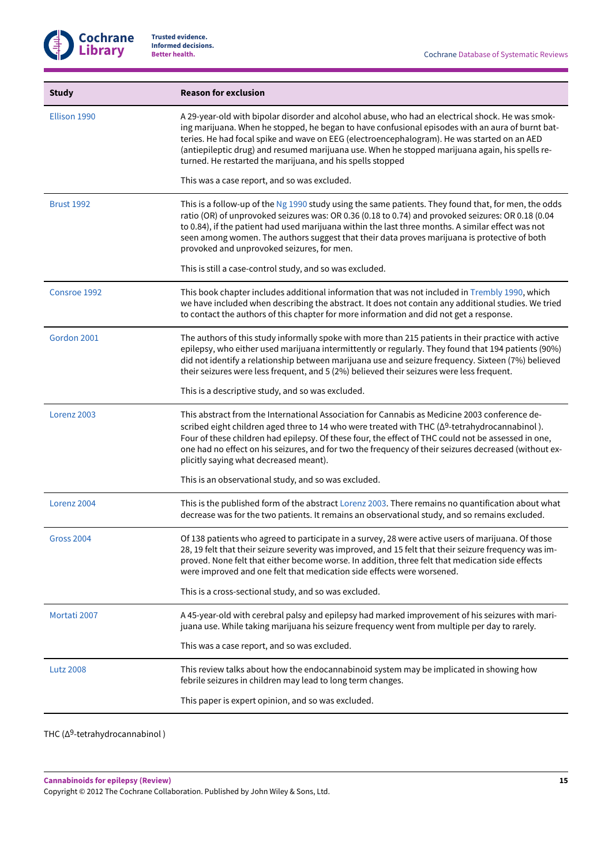**Cochrane Library**

| <b>Study</b>      | <b>Reason for exclusion</b>                                                                                                                                                                                                                                                                                                                                                                                                                                          |
|-------------------|----------------------------------------------------------------------------------------------------------------------------------------------------------------------------------------------------------------------------------------------------------------------------------------------------------------------------------------------------------------------------------------------------------------------------------------------------------------------|
| Ellison 1990      | A 29-year-old with bipolar disorder and alcohol abuse, who had an electrical shock. He was smok-<br>ing marijuana. When he stopped, he began to have confusional episodes with an aura of burnt bat-<br>teries. He had focal spike and wave on EEG (electroencephalogram). He was started on an AED<br>(antiepileptic drug) and resumed marijuana use. When he stopped marijuana again, his spells re-<br>turned. He restarted the marijuana, and his spells stopped |
|                   | This was a case report, and so was excluded.                                                                                                                                                                                                                                                                                                                                                                                                                         |
| <b>Brust 1992</b> | This is a follow-up of the Ng 1990 study using the same patients. They found that, for men, the odds<br>ratio (OR) of unprovoked seizures was: OR 0.36 (0.18 to 0.74) and provoked seizures: OR 0.18 (0.04<br>to 0.84), if the patient had used marijuana within the last three months. A similar effect was not<br>seen among women. The authors suggest that their data proves marijuana is protective of both<br>provoked and unprovoked seizures, for men.       |
|                   | This is still a case-control study, and so was excluded.                                                                                                                                                                                                                                                                                                                                                                                                             |
| Consroe 1992      | This book chapter includes additional information that was not included in Trembly 1990, which<br>we have included when describing the abstract. It does not contain any additional studies. We tried<br>to contact the authors of this chapter for more information and did not get a response.                                                                                                                                                                     |
| Gordon 2001       | The authors of this study informally spoke with more than 215 patients in their practice with active<br>epilepsy, who either used marijuana intermittently or regularly. They found that 194 patients (90%)<br>did not identify a relationship between marijuana use and seizure frequency. Sixteen (7%) believed<br>their seizures were less frequent, and 5 (2%) believed their seizures were less frequent.                                                       |
|                   | This is a descriptive study, and so was excluded.                                                                                                                                                                                                                                                                                                                                                                                                                    |
| Lorenz 2003       | This abstract from the International Association for Cannabis as Medicine 2003 conference de-<br>scribed eight children aged three to 14 who were treated with THC $(\Delta^9$ -tetrahydrocannabinol).<br>Four of these children had epilepsy. Of these four, the effect of THC could not be assessed in one,<br>one had no effect on his seizures, and for two the frequency of their seizures decreased (without ex-<br>plicitly saying what decreased meant).     |
|                   | This is an observational study, and so was excluded.                                                                                                                                                                                                                                                                                                                                                                                                                 |
| Lorenz 2004       | This is the published form of the abstract Lorenz 2003. There remains no quantification about what<br>decrease was for the two patients. It remains an observational study, and so remains excluded.                                                                                                                                                                                                                                                                 |
| <b>Gross 2004</b> | Of 138 patients who agreed to participate in a survey, 28 were active users of marijuana. Of those<br>28, 19 felt that their seizure severity was improved, and 15 felt that their seizure frequency was im-<br>proved. None felt that either become worse. In addition, three felt that medication side effects<br>were improved and one felt that medication side effects were worsened.                                                                           |
|                   | This is a cross-sectional study, and so was excluded.                                                                                                                                                                                                                                                                                                                                                                                                                |
| Mortati 2007      | A 45-year-old with cerebral palsy and epilepsy had marked improvement of his seizures with mari-<br>juana use. While taking marijuana his seizure frequency went from multiple per day to rarely.                                                                                                                                                                                                                                                                    |
|                   | This was a case report, and so was excluded.                                                                                                                                                                                                                                                                                                                                                                                                                         |
| <b>Lutz 2008</b>  | This review talks about how the endocannabinoid system may be implicated in showing how<br>febrile seizures in children may lead to long term changes.                                                                                                                                                                                                                                                                                                               |
|                   | This paper is expert opinion, and so was excluded.                                                                                                                                                                                                                                                                                                                                                                                                                   |
|                   |                                                                                                                                                                                                                                                                                                                                                                                                                                                                      |

THC (Δ9-tetrahydrocannabinol )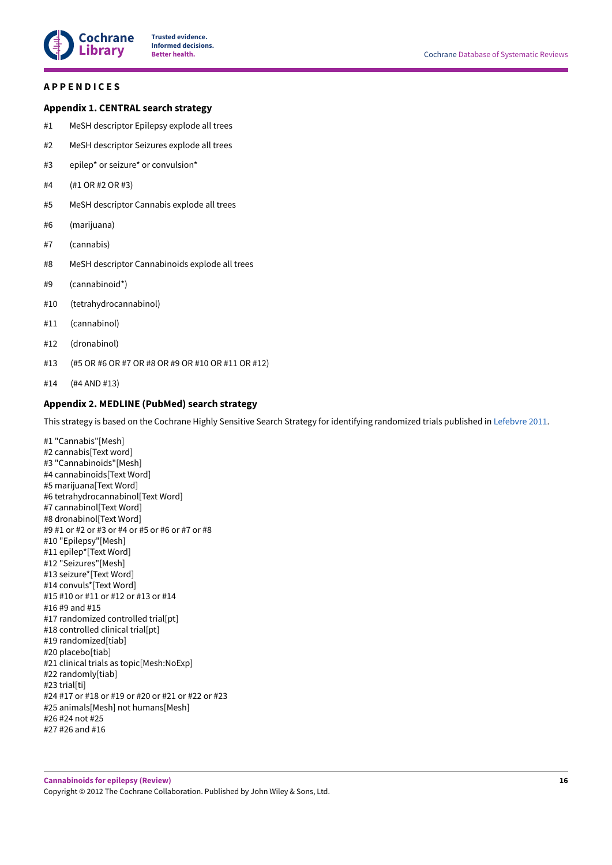

### <span id="page-17-0"></span>**A P P E N D I C E S**

# <span id="page-17-1"></span>**Appendix 1. CENTRAL search strategy**

- #1 MeSH descriptor Epilepsy explode all trees
- #2 MeSH descriptor Seizures explode all trees
- #3 epilep\* or seizure\* or convulsion\*
- #4 (#1 OR #2 OR #3)
- #5 MeSH descriptor Cannabis explode all trees
- #6 (marijuana)
- #7 (cannabis)
- #8 MeSH descriptor Cannabinoids explode all trees
- #9 (cannabinoid\*)
- #10 (tetrahydrocannabinol)
- #11 (cannabinol)
- #12 (dronabinol)
- #13 (#5 OR #6 OR #7 OR #8 OR #9 OR #10 OR #11 OR #12)
- #14 (#4 AND #13)

# <span id="page-17-2"></span>**Appendix 2. MEDLINE (PubMed) search strategy**

This strategy is based on the Cochrane Highly Sensitive Search Strategy for identifying randomized trials published in [Lefebvre](#page-10-21) 2011.

#1 "Cannabis"[Mesh] #2 cannabis[Text word] #3 "Cannabinoids"[Mesh] #4 cannabinoids[Text Word] #5 marijuana[Text Word] #6 tetrahydrocannabinol[Text Word] #7 cannabinol[Text Word] #8 dronabinol[Text Word] #9 #1 or #2 or #3 or #4 or #5 or #6 or #7 or #8 #10 "Epilepsy"[Mesh] #11 epilep\*[Text Word] #12 "Seizures"[Mesh] #13 seizure\*[Text Word] #14 convuls\*[Text Word] #15 #10 or #11 or #12 or #13 or #14 #16 #9 and #15 #17 randomized controlled trial[pt] #18 controlled clinical trial[pt] #19 randomized[tiab] #20 placebo[tiab] #21 clinical trials as topic[Mesh:NoExp] #22 randomly[tiab] #23 trial[ti] #24 #17 or #18 or #19 or #20 or #21 or #22 or #23 #25 animals[Mesh] not humans[Mesh] #26 #24 not #25 #27 #26 and #16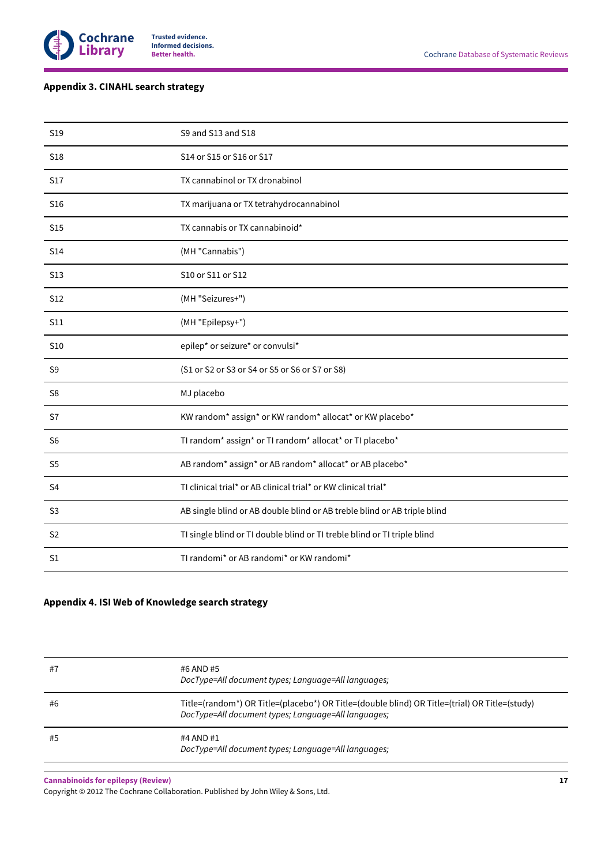

# <span id="page-18-0"></span>**Appendix 3. CINAHL search strategy**

| S19             | S9 and S13 and S18                                                       |
|-----------------|--------------------------------------------------------------------------|
| S <sub>18</sub> | S14 or S15 or S16 or S17                                                 |
| S17             | TX cannabinol or TX dronabinol                                           |
| S <sub>16</sub> | TX marijuana or TX tetrahydrocannabinol                                  |
| S <sub>15</sub> | TX cannabis or TX cannabinoid*                                           |
| S <sub>14</sub> | (MH "Cannabis")                                                          |
| S <sub>13</sub> | S10 or S11 or S12                                                        |
| S <sub>12</sub> | (MH "Seizures+")                                                         |
| <b>S11</b>      | (MH "Epilepsy+")                                                         |
| S <sub>10</sub> | epilep* or seizure* or convulsi*                                         |
| S9              | (S1 or S2 or S3 or S4 or S5 or S6 or S7 or S8)                           |
| S <sub>8</sub>  | MJ placebo                                                               |
| S7              | KW random* assign* or KW random* allocat* or KW placebo*                 |
| S <sub>6</sub>  | TI random* assign* or TI random* allocat* or TI placebo*                 |
| S <sub>5</sub>  | AB random* assign* or AB random* allocat* or AB placebo*                 |
| S <sub>4</sub>  | TI clinical trial* or AB clinical trial* or KW clinical trial*           |
| S <sub>3</sub>  | AB single blind or AB double blind or AB treble blind or AB triple blind |
| S <sub>2</sub>  | TI single blind or TI double blind or TI treble blind or TI triple blind |
| S <sub>1</sub>  | TI randomi* or AB randomi* or KW randomi*                                |

# <span id="page-18-1"></span>**Appendix 4. ISI Web of Knowledge search strategy**

| #7 | #6 AND #5<br>DocType=All document types; Language=All languages;                                                                                     |
|----|------------------------------------------------------------------------------------------------------------------------------------------------------|
| #6 | Title=(random*) OR Title=(placebo*) OR Title=(double blind) OR Title=(trial) OR Title=(study)<br>DocType=All document types; Language=All languages; |
| #5 | #4 AND #1<br>DocType=All document types; Language=All languages;                                                                                     |

**Cannabinoids for epilepsy (Review)**